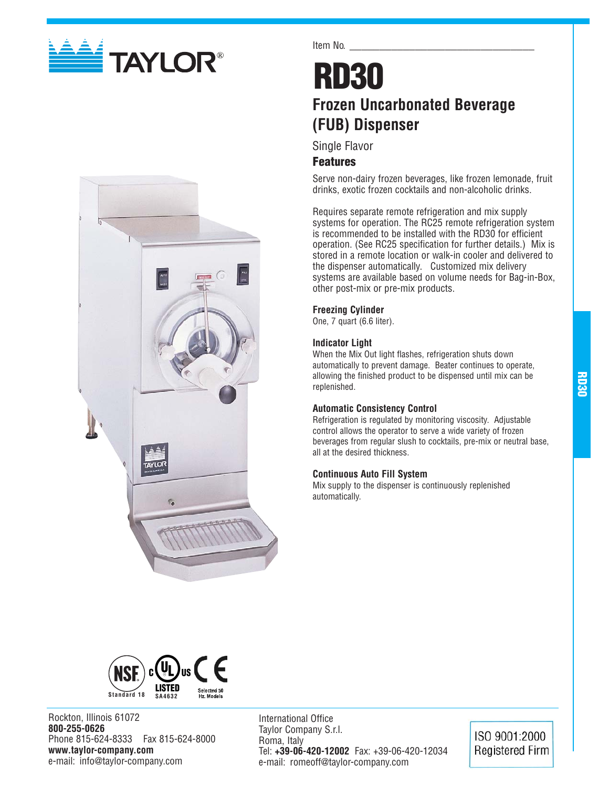



Item No.

## **RD30 Frozen Uncarbonated Beverage (FUB) Dispenser**

Single Flavor

## **Features**

Serve non-dairy frozen beverages, like frozen lemonade, fruit drinks, exotic frozen cocktails and non-alcoholic drinks.

Requires separate remote refrigeration and mix supply systems for operation. The RC25 remote refrigeration system is recommended to be installed with the RD30 for efficient operation. (See RC25 specification for further details.) Mix is stored in a remote location or walk-in cooler and delivered to the dispenser automatically. Customized mix delivery systems are available based on volume needs for Bag-in-Box, other post-mix or pre-mix products.

#### **Freezing Cylinder**

One, 7 quart (6.6 liter).

## **Indicator Light**

When the Mix Out light flashes, refrigeration shuts down automatically to prevent damage. Beater continues to operate, allowing the finished product to be dispensed until mix can be replenished.

#### **Automatic Consistency Control**

Refrigeration is regulated by monitoring viscosity. Adjustable control allows the operator to serve a wide variety of frozen beverages from regular slush to cocktails, pre-mix or neutral base, all at the desired thickness.

#### **Continuous Auto Fill System**

Mix supply to the dispenser is continuously replenished automatically.



Rockton, Illinois 61072 **800-255-0626** Phone 815-624-8333 Fax 815-624-8000 **www.taylor-company.com** e-mail: info@taylor-company.com

International Office Taylor Company S.r.l. Roma, Italy Tel: **+39-06-420-12002** Fax: +39-06-420-12034 e-mail: romeoff@taylor-company.com

ISO 9001:2000 **Registered Firm**